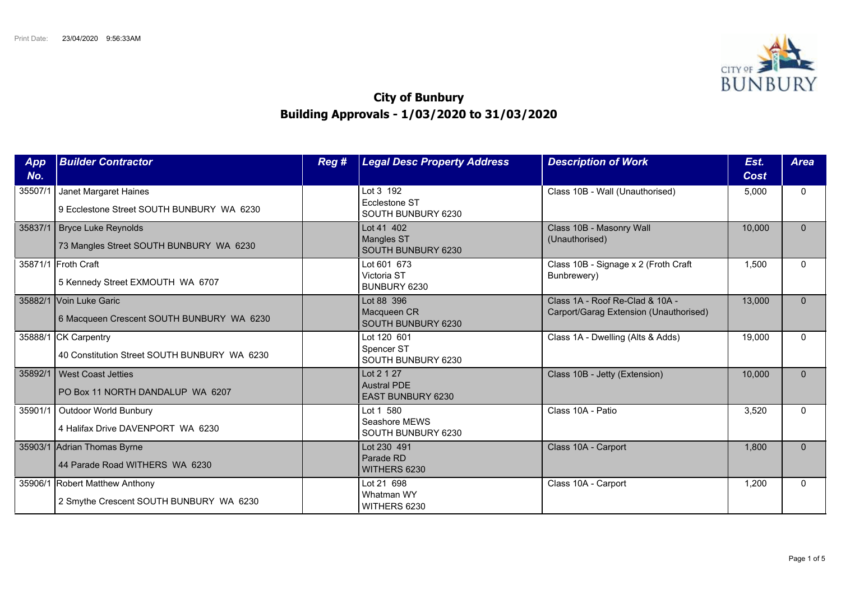

## **City of Bunbury Building Approvals - 1/03/2020 to 31/03/2020**

| App<br>No. | <b>Builder Contractor</b>                                                 | Reg # | <b>Legal Desc Property Address</b>                    | <b>Description of Work</b>                                                | Est.<br>Cost | <b>Area</b>  |
|------------|---------------------------------------------------------------------------|-------|-------------------------------------------------------|---------------------------------------------------------------------------|--------------|--------------|
| 35507/     | Janet Margaret Haines<br>9 Ecclestone Street SOUTH BUNBURY WA 6230        |       | Lot 3 192<br>Ecclestone ST<br>SOUTH BUNBURY 6230      | Class 10B - Wall (Unauthorised)                                           | 5,000        | $\Omega$     |
| 35837/1    | Bryce Luke Reynolds<br>73 Mangles Street SOUTH BUNBURY WA 6230            |       | Lot 41 402<br><b>Mangles ST</b><br>SOUTH BUNBURY 6230 | Class 10B - Masonry Wall<br>(Unauthorised)                                | 10,000       | $\Omega$     |
|            | 35871/1 Froth Craft<br>5 Kennedy Street EXMOUTH WA 6707                   |       | Lot 601 673<br>Victoria ST<br>BUNBURY 6230            | Class 10B - Signage x 2 (Froth Craft<br>Bunbrewery)                       | 1,500        | $\Omega$     |
|            | 35882/1 Voin Luke Garic<br>6 Macqueen Crescent SOUTH BUNBURY WA 6230      |       | Lot 88 396<br>Macqueen CR<br>SOUTH BUNBURY 6230       | Class 1A - Roof Re-Clad & 10A -<br>Carport/Garag Extension (Unauthorised) | 13,000       | $\Omega$     |
|            | 35888/1 CK Carpentry<br>40 Constitution Street SOUTH BUNBURY WA 6230      |       | Lot 120 601<br>Spencer ST<br>SOUTH BUNBURY 6230       | Class 1A - Dwelling (Alts & Adds)                                         | 19,000       | $\Omega$     |
| 35892/1    | West Coast Jetties<br>PO Box 11 NORTH DANDALUP WA 6207                    |       | Lot 2 1 27<br><b>Austral PDE</b><br>EAST BUNBURY 6230 | Class 10B - Jetty (Extension)                                             | 10,000       | $\mathbf{0}$ |
|            | 35901/1   Outdoor World Bunbury<br>4 Halifax Drive DAVENPORT WA 6230      |       | Lot 1 580<br>Seashore MEWS<br>SOUTH BUNBURY 6230      | Class 10A - Patio                                                         | 3,520        | $\Omega$     |
|            | 35903/1 Adrian Thomas Byrne<br>44 Parade Road WITHERS WA 6230             |       | Lot 230 491<br>Parade RD<br>WITHERS 6230              | Class 10A - Carport                                                       | 1,800        | $\Omega$     |
|            | 35906/1 Robert Matthew Anthony<br>2 Smythe Crescent SOUTH BUNBURY WA 6230 |       | Lot 21 698<br>Whatman WY<br>WITHERS 6230              | Class 10A - Carport                                                       | 1,200        | $\Omega$     |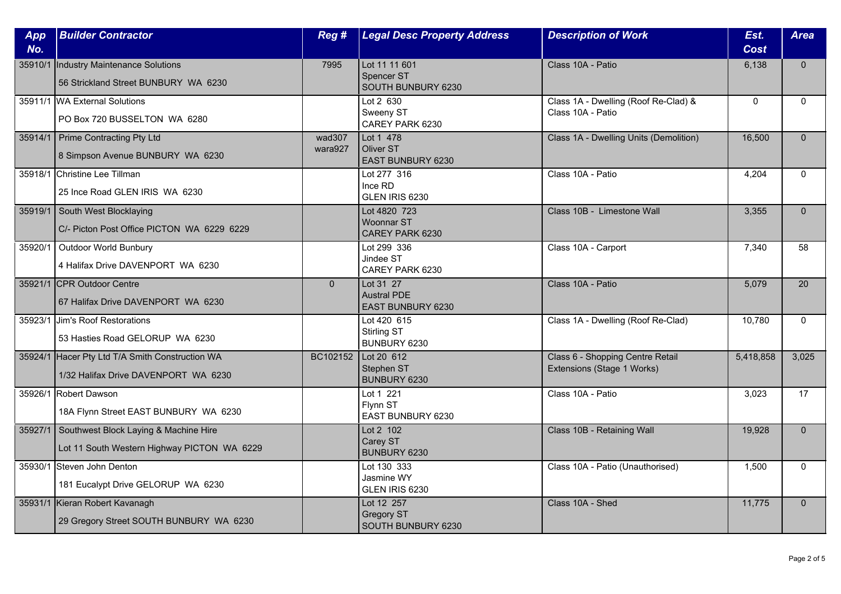| App<br>No. | <b>Builder Contractor</b>                                                               | Reg #             | <b>Legal Desc Property Address</b>                          | <b>Description of Work</b>                                     | Est.<br><b>Cost</b> | <b>Area</b>  |
|------------|-----------------------------------------------------------------------------------------|-------------------|-------------------------------------------------------------|----------------------------------------------------------------|---------------------|--------------|
| 35910/1    | Industry Maintenance Solutions<br>56 Strickland Street BUNBURY WA 6230                  | 7995              | Lot 11 11 601<br>Spencer ST<br>SOUTH BUNBURY 6230           | Class 10A - Patio                                              | 6,138               | $\Omega$     |
|            | 35911/1 WA External Solutions<br>PO Box 720 BUSSELTON WA 6280                           |                   | Lot $2\overline{630}$<br>Sweeny ST<br>CAREY PARK 6230       | Class 1A - Dwelling (Roof Re-Clad) &<br>Class 10A - Patio      | $\mathbf 0$         | $\mathbf{0}$ |
|            | 35914/1   Prime Contracting Pty Ltd<br>8 Simpson Avenue BUNBURY WA 6230                 | wad307<br>wara927 | Lot 1 478<br><b>Oliver ST</b><br><b>EAST BUNBURY 6230</b>   | Class 1A - Dwelling Units (Demolition)                         | 16,500              | $\mathbf{0}$ |
|            | 35918/1 Christine Lee Tillman<br>25 Ince Road GLEN IRIS WA 6230                         |                   | Lot 277 316<br>Ince RD<br>GLEN IRIS 6230                    | Class 10A - Patio                                              | 4,204               | $\Omega$     |
| 35919/1    | South West Blocklaying<br>C/- Picton Post Office PICTON WA 6229 6229                    |                   | Lot 4820 723<br>Woonnar ST<br>CAREY PARK 6230               | Class 10B - Limestone Wall                                     | 3,355               | $\Omega$     |
| 35920/1    | <b>Outdoor World Bunbury</b><br>4 Halifax Drive DAVENPORT WA 6230                       |                   | Lot 299 336<br>Jindee ST<br>CAREY PARK 6230                 | Class 10A - Carport                                            | 7,340               | 58           |
|            | 35921/1 CPR Outdoor Centre<br>67 Halifax Drive DAVENPORT WA 6230                        | $\overline{0}$    | Lot 31 27<br><b>Austral PDE</b><br><b>EAST BUNBURY 6230</b> | Class 10A - Patio                                              | 5,079               | 20           |
| 35923/1    | Jim's Roof Restorations<br>53 Hasties Road GELORUP WA 6230                              |                   | Lot 420 615<br>Stirling ST<br>BUNBURY 6230                  | Class 1A - Dwelling (Roof Re-Clad)                             | 10,780              | $\Omega$     |
|            | 35924/1 Hacer Pty Ltd T/A Smith Construction WA<br>1/32 Halifax Drive DAVENPORT WA 6230 | BC102152          | Lot 20 612<br>Stephen ST<br><b>BUNBURY 6230</b>             | Class 6 - Shopping Centre Retail<br>Extensions (Stage 1 Works) | 5,418,858           | 3,025        |
|            | 35926/1 Robert Dawson<br>18A Flynn Street EAST BUNBURY WA 6230                          |                   | Lot 1 221<br>Flynn ST<br>EAST BUNBURY 6230                  | Class 10A - Patio                                              | 3,023               | 17           |
| 35927/1    | Southwest Block Laying & Machine Hire<br>Lot 11 South Western Highway PICTON WA 6229    |                   | Lot 2 102<br>Carey ST<br>BUNBURY 6230                       | Class 10B - Retaining Wall                                     | 19,928              | $\mathbf{0}$ |
|            | 35930/1 Steven John Denton<br>181 Eucalypt Drive GELORUP WA 6230                        |                   | Lot 130 333<br>Jasmine WY<br>GLEN IRIS 6230                 | Class 10A - Patio (Unauthorised)                               | 1,500               | $\Omega$     |
|            | 35931/1 Kieran Robert Kavanagh<br>29 Gregory Street SOUTH BUNBURY WA 6230               |                   | Lot 12 257<br><b>Gregory ST</b><br>SOUTH BUNBURY 6230       | Class 10A - Shed                                               | 11,775              | $\mathbf{0}$ |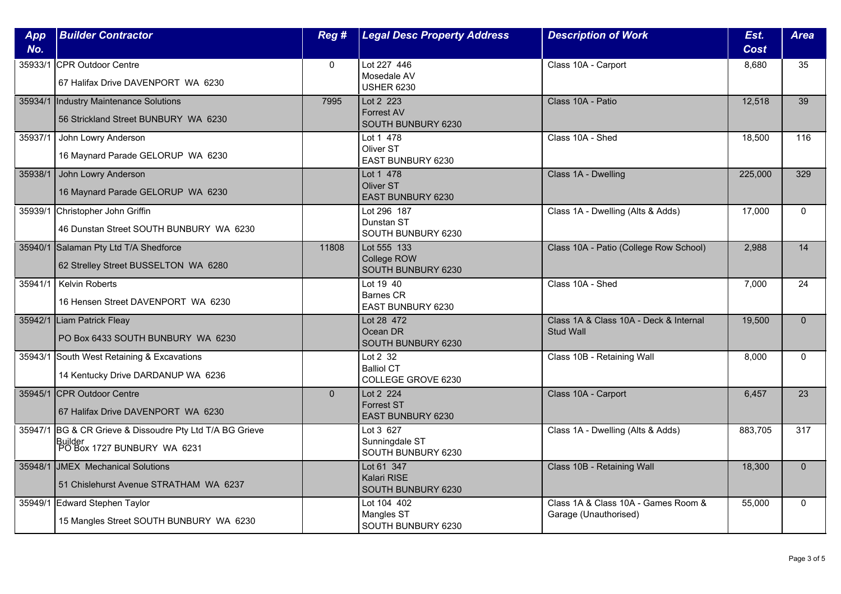| No.<br><b>Cost</b><br>Lot 227 446<br>35933/1 CPR Outdoor Centre<br>$\mathbf{0}$<br>Class 10A - Carport<br>8,680<br>35<br>Mosedale AV<br>67 Halifax Drive DAVENPORT WA 6230<br><b>USHER 6230</b><br>7995<br>Lot 2 223<br>Class 10A - Patio<br>12,518<br>39<br>35934/1  Industry Maintenance Solutions<br><b>Forrest AV</b><br>56 Strickland Street BUNBURY WA 6230<br>SOUTH BUNBURY 6230<br>John Lowry Anderson<br>Lot 1 478<br>Class 10A - Shed<br>35937/1<br>18,500<br>116<br>Oliver ST<br>16 Maynard Parade GELORUP WA 6230<br>EAST BUNBURY 6230<br>John Lowry Anderson<br>Lot 1 478<br>Class 1A - Dwelling<br>225,000<br>329<br>Oliver ST<br>16 Maynard Parade GELORUP WA 6230<br>EAST BUNBURY 6230<br>Lot 296 187<br>Class 1A - Dwelling (Alts & Adds)<br>35939/1<br>Christopher John Griffin<br>17,000<br>$\mathbf{0}$<br>Dunstan ST<br>46 Dunstan Street SOUTH BUNBURY WA 6230<br>SOUTH BUNBURY 6230<br>35940/1 Salaman Pty Ltd T/A Shedforce<br>Lot 555 133<br>14<br>Class 10A - Patio (College Row School)<br>2,988<br>11808<br>College ROW<br>62 Strelley Street BUSSELTON WA 6280<br>SOUTH BUNBURY 6230<br><b>Kelvin Roberts</b><br>Lot 19 40<br>Class 10A - Shed<br>35941/1<br>7,000<br>24<br>Barnes CR<br>16 Hensen Street DAVENPORT WA 6230<br><b>EAST BUNBURY 6230</b><br>35942/1 Liam Patrick Fleay<br>Lot 28 472<br>Class 1A & Class 10A - Deck & Internal<br>19,500<br>$\Omega$<br>Ocean DR<br><b>Stud Wall</b><br>PO Box 6433 SOUTH BUNBURY WA 6230<br>SOUTH BUNBURY 6230<br>Lot $2\overline{32}$<br>35943/1 South West Retaining & Excavations<br>Class 10B - Retaining Wall<br>8,000<br>$\Omega$<br><b>Balliol CT</b><br>14 Kentucky Drive DARDANUP WA 6236<br>COLLEGE GROVE 6230<br>35945/1 CPR Outdoor Centre<br>Class 10A - Carport<br>$\mathbf{0}$<br>Lot 2 224<br>6,457<br>23<br><b>Forrest ST</b><br>67 Halifax Drive DAVENPORT WA 6230<br>EAST BUNBURY 6230<br>35947/1 BG & CR Grieve & Dissoudre Pty Ltd T/A BG Grieve<br>Lot 3 627<br>Class 1A - Dwelling (Alts & Adds)<br>883,705<br>317<br>Sunningdale ST<br>Builder<br>PO Box 1727 BUNBURY WA 6231<br>SOUTH BUNBURY 6230<br>35948/1 JMEX Mechanical Solutions<br>Lot 61 347<br>Class 10B - Retaining Wall<br>$\Omega$<br>18,300<br>Kalari RISE<br>51 Chislehurst Avenue STRATHAM WA 6237<br>SOUTH BUNBURY 6230<br>Lot 104 402<br>Class 1A & Class 10A - Games Room &<br>35949/1 Edward Stephen Taylor<br>55,000<br>$\mathbf 0$<br>Mangles ST<br>Garage (Unauthorised)<br>15 Mangles Street SOUTH BUNBURY WA 6230<br>SOUTH BUNBURY 6230 | App     | <b>Builder Contractor</b> | Reg # | <b>Legal Desc Property Address</b> | <b>Description of Work</b> | Est. | <b>Area</b> |
|------------------------------------------------------------------------------------------------------------------------------------------------------------------------------------------------------------------------------------------------------------------------------------------------------------------------------------------------------------------------------------------------------------------------------------------------------------------------------------------------------------------------------------------------------------------------------------------------------------------------------------------------------------------------------------------------------------------------------------------------------------------------------------------------------------------------------------------------------------------------------------------------------------------------------------------------------------------------------------------------------------------------------------------------------------------------------------------------------------------------------------------------------------------------------------------------------------------------------------------------------------------------------------------------------------------------------------------------------------------------------------------------------------------------------------------------------------------------------------------------------------------------------------------------------------------------------------------------------------------------------------------------------------------------------------------------------------------------------------------------------------------------------------------------------------------------------------------------------------------------------------------------------------------------------------------------------------------------------------------------------------------------------------------------------------------------------------------------------------------------------------------------------------------------------------------------------------------------------------------------------------------------------------------------------------------------------------------------------------------------------------------------------------------------------------------------------------------------------------------------------------------------|---------|---------------------------|-------|------------------------------------|----------------------------|------|-------------|
|                                                                                                                                                                                                                                                                                                                                                                                                                                                                                                                                                                                                                                                                                                                                                                                                                                                                                                                                                                                                                                                                                                                                                                                                                                                                                                                                                                                                                                                                                                                                                                                                                                                                                                                                                                                                                                                                                                                                                                                                                                                                                                                                                                                                                                                                                                                                                                                                                                                                                                                        |         |                           |       |                                    |                            |      |             |
|                                                                                                                                                                                                                                                                                                                                                                                                                                                                                                                                                                                                                                                                                                                                                                                                                                                                                                                                                                                                                                                                                                                                                                                                                                                                                                                                                                                                                                                                                                                                                                                                                                                                                                                                                                                                                                                                                                                                                                                                                                                                                                                                                                                                                                                                                                                                                                                                                                                                                                                        |         |                           |       |                                    |                            |      |             |
|                                                                                                                                                                                                                                                                                                                                                                                                                                                                                                                                                                                                                                                                                                                                                                                                                                                                                                                                                                                                                                                                                                                                                                                                                                                                                                                                                                                                                                                                                                                                                                                                                                                                                                                                                                                                                                                                                                                                                                                                                                                                                                                                                                                                                                                                                                                                                                                                                                                                                                                        |         |                           |       |                                    |                            |      |             |
|                                                                                                                                                                                                                                                                                                                                                                                                                                                                                                                                                                                                                                                                                                                                                                                                                                                                                                                                                                                                                                                                                                                                                                                                                                                                                                                                                                                                                                                                                                                                                                                                                                                                                                                                                                                                                                                                                                                                                                                                                                                                                                                                                                                                                                                                                                                                                                                                                                                                                                                        |         |                           |       |                                    |                            |      |             |
|                                                                                                                                                                                                                                                                                                                                                                                                                                                                                                                                                                                                                                                                                                                                                                                                                                                                                                                                                                                                                                                                                                                                                                                                                                                                                                                                                                                                                                                                                                                                                                                                                                                                                                                                                                                                                                                                                                                                                                                                                                                                                                                                                                                                                                                                                                                                                                                                                                                                                                                        |         |                           |       |                                    |                            |      |             |
|                                                                                                                                                                                                                                                                                                                                                                                                                                                                                                                                                                                                                                                                                                                                                                                                                                                                                                                                                                                                                                                                                                                                                                                                                                                                                                                                                                                                                                                                                                                                                                                                                                                                                                                                                                                                                                                                                                                                                                                                                                                                                                                                                                                                                                                                                                                                                                                                                                                                                                                        |         |                           |       |                                    |                            |      |             |
|                                                                                                                                                                                                                                                                                                                                                                                                                                                                                                                                                                                                                                                                                                                                                                                                                                                                                                                                                                                                                                                                                                                                                                                                                                                                                                                                                                                                                                                                                                                                                                                                                                                                                                                                                                                                                                                                                                                                                                                                                                                                                                                                                                                                                                                                                                                                                                                                                                                                                                                        |         |                           |       |                                    |                            |      |             |
|                                                                                                                                                                                                                                                                                                                                                                                                                                                                                                                                                                                                                                                                                                                                                                                                                                                                                                                                                                                                                                                                                                                                                                                                                                                                                                                                                                                                                                                                                                                                                                                                                                                                                                                                                                                                                                                                                                                                                                                                                                                                                                                                                                                                                                                                                                                                                                                                                                                                                                                        | 35938/1 |                           |       |                                    |                            |      |             |
|                                                                                                                                                                                                                                                                                                                                                                                                                                                                                                                                                                                                                                                                                                                                                                                                                                                                                                                                                                                                                                                                                                                                                                                                                                                                                                                                                                                                                                                                                                                                                                                                                                                                                                                                                                                                                                                                                                                                                                                                                                                                                                                                                                                                                                                                                                                                                                                                                                                                                                                        |         |                           |       |                                    |                            |      |             |
|                                                                                                                                                                                                                                                                                                                                                                                                                                                                                                                                                                                                                                                                                                                                                                                                                                                                                                                                                                                                                                                                                                                                                                                                                                                                                                                                                                                                                                                                                                                                                                                                                                                                                                                                                                                                                                                                                                                                                                                                                                                                                                                                                                                                                                                                                                                                                                                                                                                                                                                        |         |                           |       |                                    |                            |      |             |
|                                                                                                                                                                                                                                                                                                                                                                                                                                                                                                                                                                                                                                                                                                                                                                                                                                                                                                                                                                                                                                                                                                                                                                                                                                                                                                                                                                                                                                                                                                                                                                                                                                                                                                                                                                                                                                                                                                                                                                                                                                                                                                                                                                                                                                                                                                                                                                                                                                                                                                                        |         |                           |       |                                    |                            |      |             |
|                                                                                                                                                                                                                                                                                                                                                                                                                                                                                                                                                                                                                                                                                                                                                                                                                                                                                                                                                                                                                                                                                                                                                                                                                                                                                                                                                                                                                                                                                                                                                                                                                                                                                                                                                                                                                                                                                                                                                                                                                                                                                                                                                                                                                                                                                                                                                                                                                                                                                                                        |         |                           |       |                                    |                            |      |             |
|                                                                                                                                                                                                                                                                                                                                                                                                                                                                                                                                                                                                                                                                                                                                                                                                                                                                                                                                                                                                                                                                                                                                                                                                                                                                                                                                                                                                                                                                                                                                                                                                                                                                                                                                                                                                                                                                                                                                                                                                                                                                                                                                                                                                                                                                                                                                                                                                                                                                                                                        |         |                           |       |                                    |                            |      |             |
|                                                                                                                                                                                                                                                                                                                                                                                                                                                                                                                                                                                                                                                                                                                                                                                                                                                                                                                                                                                                                                                                                                                                                                                                                                                                                                                                                                                                                                                                                                                                                                                                                                                                                                                                                                                                                                                                                                                                                                                                                                                                                                                                                                                                                                                                                                                                                                                                                                                                                                                        |         |                           |       |                                    |                            |      |             |
|                                                                                                                                                                                                                                                                                                                                                                                                                                                                                                                                                                                                                                                                                                                                                                                                                                                                                                                                                                                                                                                                                                                                                                                                                                                                                                                                                                                                                                                                                                                                                                                                                                                                                                                                                                                                                                                                                                                                                                                                                                                                                                                                                                                                                                                                                                                                                                                                                                                                                                                        |         |                           |       |                                    |                            |      |             |
|                                                                                                                                                                                                                                                                                                                                                                                                                                                                                                                                                                                                                                                                                                                                                                                                                                                                                                                                                                                                                                                                                                                                                                                                                                                                                                                                                                                                                                                                                                                                                                                                                                                                                                                                                                                                                                                                                                                                                                                                                                                                                                                                                                                                                                                                                                                                                                                                                                                                                                                        |         |                           |       |                                    |                            |      |             |
|                                                                                                                                                                                                                                                                                                                                                                                                                                                                                                                                                                                                                                                                                                                                                                                                                                                                                                                                                                                                                                                                                                                                                                                                                                                                                                                                                                                                                                                                                                                                                                                                                                                                                                                                                                                                                                                                                                                                                                                                                                                                                                                                                                                                                                                                                                                                                                                                                                                                                                                        |         |                           |       |                                    |                            |      |             |
|                                                                                                                                                                                                                                                                                                                                                                                                                                                                                                                                                                                                                                                                                                                                                                                                                                                                                                                                                                                                                                                                                                                                                                                                                                                                                                                                                                                                                                                                                                                                                                                                                                                                                                                                                                                                                                                                                                                                                                                                                                                                                                                                                                                                                                                                                                                                                                                                                                                                                                                        |         |                           |       |                                    |                            |      |             |
|                                                                                                                                                                                                                                                                                                                                                                                                                                                                                                                                                                                                                                                                                                                                                                                                                                                                                                                                                                                                                                                                                                                                                                                                                                                                                                                                                                                                                                                                                                                                                                                                                                                                                                                                                                                                                                                                                                                                                                                                                                                                                                                                                                                                                                                                                                                                                                                                                                                                                                                        |         |                           |       |                                    |                            |      |             |
|                                                                                                                                                                                                                                                                                                                                                                                                                                                                                                                                                                                                                                                                                                                                                                                                                                                                                                                                                                                                                                                                                                                                                                                                                                                                                                                                                                                                                                                                                                                                                                                                                                                                                                                                                                                                                                                                                                                                                                                                                                                                                                                                                                                                                                                                                                                                                                                                                                                                                                                        |         |                           |       |                                    |                            |      |             |
|                                                                                                                                                                                                                                                                                                                                                                                                                                                                                                                                                                                                                                                                                                                                                                                                                                                                                                                                                                                                                                                                                                                                                                                                                                                                                                                                                                                                                                                                                                                                                                                                                                                                                                                                                                                                                                                                                                                                                                                                                                                                                                                                                                                                                                                                                                                                                                                                                                                                                                                        |         |                           |       |                                    |                            |      |             |
|                                                                                                                                                                                                                                                                                                                                                                                                                                                                                                                                                                                                                                                                                                                                                                                                                                                                                                                                                                                                                                                                                                                                                                                                                                                                                                                                                                                                                                                                                                                                                                                                                                                                                                                                                                                                                                                                                                                                                                                                                                                                                                                                                                                                                                                                                                                                                                                                                                                                                                                        |         |                           |       |                                    |                            |      |             |
|                                                                                                                                                                                                                                                                                                                                                                                                                                                                                                                                                                                                                                                                                                                                                                                                                                                                                                                                                                                                                                                                                                                                                                                                                                                                                                                                                                                                                                                                                                                                                                                                                                                                                                                                                                                                                                                                                                                                                                                                                                                                                                                                                                                                                                                                                                                                                                                                                                                                                                                        |         |                           |       |                                    |                            |      |             |
|                                                                                                                                                                                                                                                                                                                                                                                                                                                                                                                                                                                                                                                                                                                                                                                                                                                                                                                                                                                                                                                                                                                                                                                                                                                                                                                                                                                                                                                                                                                                                                                                                                                                                                                                                                                                                                                                                                                                                                                                                                                                                                                                                                                                                                                                                                                                                                                                                                                                                                                        |         |                           |       |                                    |                            |      |             |
|                                                                                                                                                                                                                                                                                                                                                                                                                                                                                                                                                                                                                                                                                                                                                                                                                                                                                                                                                                                                                                                                                                                                                                                                                                                                                                                                                                                                                                                                                                                                                                                                                                                                                                                                                                                                                                                                                                                                                                                                                                                                                                                                                                                                                                                                                                                                                                                                                                                                                                                        |         |                           |       |                                    |                            |      |             |
|                                                                                                                                                                                                                                                                                                                                                                                                                                                                                                                                                                                                                                                                                                                                                                                                                                                                                                                                                                                                                                                                                                                                                                                                                                                                                                                                                                                                                                                                                                                                                                                                                                                                                                                                                                                                                                                                                                                                                                                                                                                                                                                                                                                                                                                                                                                                                                                                                                                                                                                        |         |                           |       |                                    |                            |      |             |
|                                                                                                                                                                                                                                                                                                                                                                                                                                                                                                                                                                                                                                                                                                                                                                                                                                                                                                                                                                                                                                                                                                                                                                                                                                                                                                                                                                                                                                                                                                                                                                                                                                                                                                                                                                                                                                                                                                                                                                                                                                                                                                                                                                                                                                                                                                                                                                                                                                                                                                                        |         |                           |       |                                    |                            |      |             |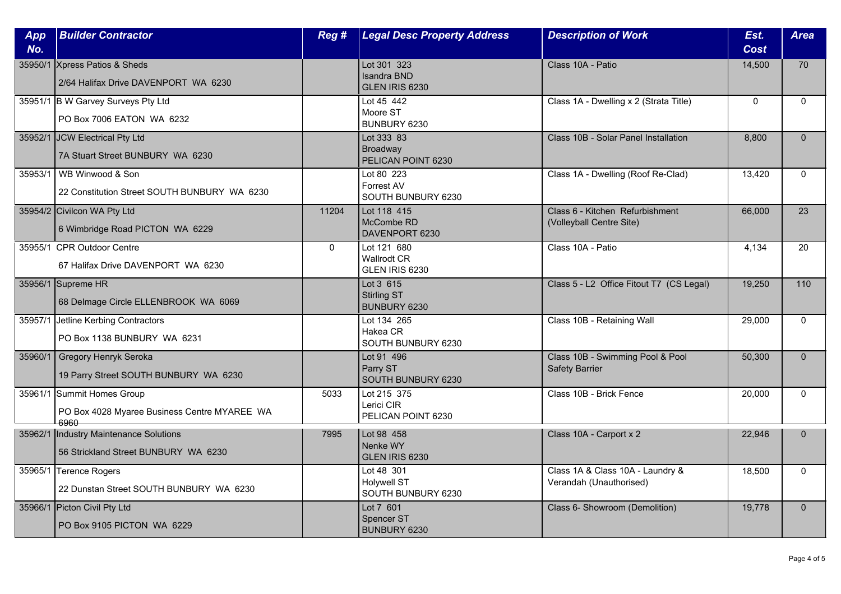| App<br>No. | <b>Builder Contractor</b>                                                          | Reg #        | <b>Legal Desc Property Address</b>                     | <b>Description of Work</b>                                  | Est.<br>Cost | <b>Area</b>  |
|------------|------------------------------------------------------------------------------------|--------------|--------------------------------------------------------|-------------------------------------------------------------|--------------|--------------|
|            | 35950/1 Xpress Patios & Sheds<br>2/64 Halifax Drive DAVENPORT WA 6230              |              | Lot 301 323<br>Isandra BND<br>GLEN IRIS 6230           | Class 10A - Patio                                           | 14,500       | 70           |
|            | 35951/1 B W Garvey Surveys Pty Ltd<br>PO Box 7006 EATON WA 6232                    |              | Lot $45$ $442$<br>Moore ST<br>BUNBURY 6230             | Class 1A - Dwelling x 2 (Strata Title)                      | $\mathbf{0}$ | $\Omega$     |
|            | 35952/1 JCW Electrical Pty Ltd<br>7A Stuart Street BUNBURY WA 6230                 |              | Lot 333 83<br>Broadway<br>PELICAN POINT 6230           | Class 10B - Solar Panel Installation                        | 8,800        | $\mathbf{0}$ |
| 35953/1    | WB Winwood & Son<br>22 Constitution Street SOUTH BUNBURY WA 6230                   |              | Lot 80 223<br>Forrest AV<br>SOUTH BUNBURY 6230         | Class 1A - Dwelling (Roof Re-Clad)                          | 13,420       | $\Omega$     |
|            | 35954/2 Civilcon WA Pty Ltd<br>6 Wimbridge Road PICTON WA 6229                     | 11204        | Lot 118 415<br>McCombe RD<br>DAVENPORT 6230            | Class 6 - Kitchen Refurbishment<br>(Volleyball Centre Site) | 66.000       | 23           |
|            | 35955/1 CPR Outdoor Centre<br>67 Halifax Drive DAVENPORT WA 6230                   | $\mathbf{0}$ | Lot 121 680<br><b>Wallrodt CR</b><br>GLEN IRIS 6230    | Class 10A - Patio                                           | 4,134        | 20           |
|            | 35956/1 Supreme HR<br>68 Delmage Circle ELLENBROOK WA 6069                         |              | Lot 3 615<br><b>Stirling ST</b><br>BUNBURY 6230        | Class 5 - L2 Office Fitout T7 (CS Legal)                    | 19,250       | 110          |
|            | 35957/1 Jetline Kerbing Contractors<br>PO Box 1138 BUNBURY WA 6231                 |              | Lot 134 265<br>Hakea CR<br>SOUTH BUNBURY 6230          | Class 10B - Retaining Wall                                  | 29,000       | $\Omega$     |
| 35960/1    | Gregory Henryk Seroka<br>19 Parry Street SOUTH BUNBURY WA 6230                     |              | Lot 91 496<br>Parry ST<br>SOUTH BUNBURY 6230           | Class 10B - Swimming Pool & Pool<br><b>Safety Barrier</b>   | 50,300       | $\Omega$     |
|            | 35961/1 Summit Homes Group<br>PO Box 4028 Myaree Business Centre MYAREE WA<br>6960 | 5033         | Lot 215 375<br>Lerici CIR<br>PELICAN POINT 6230        | Class 10B - Brick Fence                                     | 20,000       | $\mathbf{0}$ |
|            | 35962/1  Industry Maintenance Solutions<br>56 Strickland Street BUNBURY WA 6230    | 7995         | Lot 98 458<br>Nenke WY<br>GLEN IRIS 6230               | Class 10A - Carport x 2                                     | 22,946       | $\mathbf{0}$ |
| 35965/1    | Terence Rogers<br>22 Dunstan Street SOUTH BUNBURY WA 6230                          |              | Lot 48 301<br><b>Holvwell ST</b><br>SOUTH BUNBURY 6230 | Class 1A & Class 10A - Laundry &<br>Verandah (Unauthorised) | 18,500       | $\mathbf{0}$ |
|            | 35966/1 Picton Civil Pty Ltd<br>PO Box 9105 PICTON WA 6229                         |              | Lot 7 601<br>Spencer ST<br>BUNBURY 6230                | Class 6- Showroom (Demolition)                              | 19,778       | $\Omega$     |